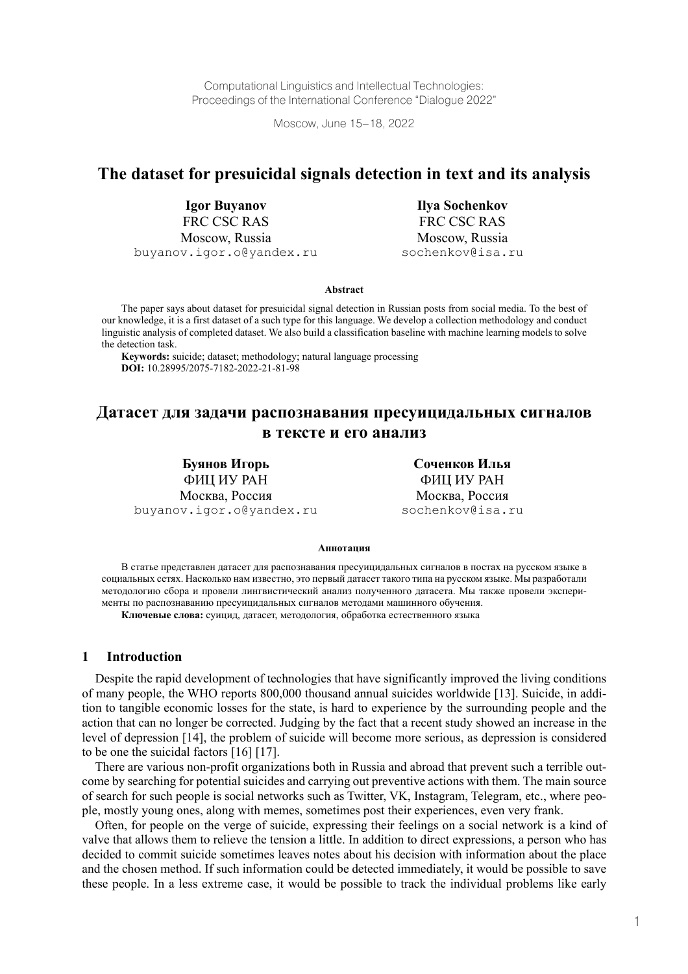Computational Linguistics and Intellectual Technologies: Proceedings of the International Conference "Dialogue 2022"

Moscow, June 15–18, 2022

# **The dataset for presuicidal signals detection in text and its analysis**

**Igor Buyanov** FRC CSC RAS Moscow, Russia buyanov.igor.o@yandex.ru

**Ilya Sochenkov** FRC CSC RAS Moscow, Russia sochenkov@isa.ru

**Abstract**

The paper says about dataset for presuicidal signal detection in Russian posts from social media. To the best of our knowledge, it is a first dataset of a such type for this language. We develop a collection methodology and conduct linguistic analysis of completed dataset. We also build a classification baseline with machine learning models to solve the detection task.

**Keywords:** suicide; dataset; methodology; natural language processing **DOI:** 10.28995/2075-7182-2022-21-81-98

## **Датасет для задачи распознавания пресуицидальных сигналов в тексте и его анализ**

**Буянов Игорь** ФИЦ ИУ РАН Москва, Россия buyanov.igor.o@yandex.ru

**Соченков Илья** ФИЦ ИУ РАН Москва, Россия sochenkov@isa.ru

#### **Аннотация**

В статье представлен датасет для распознавания пресуицидальных сигналов в постах на русском языке в социальных сетях. Насколько нам известно, это первый датасет такого типа на русском языке. Мы разработали методологию сбора и провели лингвистический анализ полученного датасета. Мы также провели эксперименты по распознаванию пресуицидальных сигналов методами машинного обучения.

**Ключевые слова:** суицид, датасет, методология, обработка естественного языка

#### **1 Introduction**

Despite the rapid development of technologies that have significantly improved the living conditions of many people, the WHO reports 800,000 thousand annual suicides worldwide [13]. Suicide, in addition to tangible economic losses for the state, is hard to experience by the surrounding people and the action that can no longer be corrected. Judging by the fact that a recent study showed an increase in the level of depression [14], the problem of suicide will become more serious, as depression is considered to be one the suicidal factors [16] [17].

There are various non-profit organizations both in Russia and abroad that prevent such a terrible outcome by searching for potential suicides and carrying out preventive actions with them. The main source of search for such people is social networks such as Twitter, VK, Instagram, Telegram, etc., where people, mostly young ones, along with memes, sometimes post their experiences, even very frank.

Often, for people on the verge of suicide, expressing their feelings on a social network is a kind of valve that allows them to relieve the tension a little. In addition to direct expressions, a person who has decided to commit suicide sometimes leaves notes about his decision with information about the place and the chosen method. If such information could be detected immediately, it would be possible to save these people. In a less extreme case, it would be possible to track the individual problems like early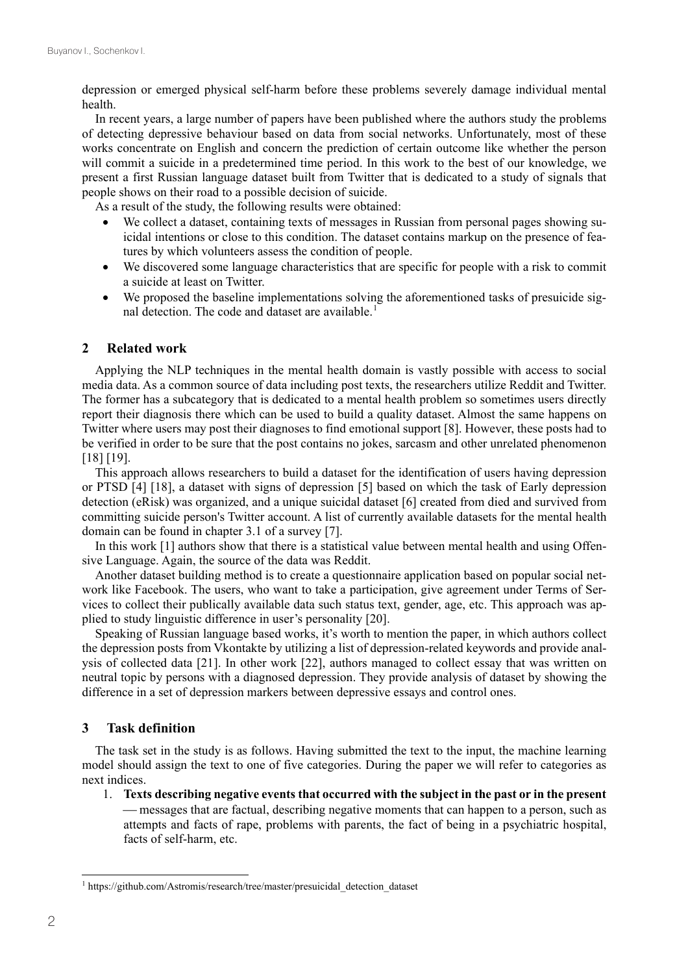depression or emerged physical self-harm before these problems severely damage individual mental health.

In recent years, a large number of papers have been published where the authors study the problems of detecting depressive behaviour based on data from social networks. Unfortunately, most of these works concentrate on English and concern the prediction of certain outcome like whether the person will commit a suicide in a predetermined time period. In this work to the best of our knowledge, we present a first Russian language dataset built from Twitter that is dedicated to a study of signals that people shows on their road to a possible decision of suicide.

As a result of the study, the following results were obtained:

- We collect a dataset, containing texts of messages in Russian from personal pages showing suicidal intentions or close to this condition. The dataset contains markup on the presence of features by which volunteers assess the condition of people.
- We discovered some language characteristics that are specific for people with a risk to commit a suicide at least on Twitter.
- We proposed the baseline implementations solving the aforementioned tasks of presuicide signal detection. The code and dataset are available.<sup>1</sup>

#### **2 Related work**

Applying the NLP techniques in the mental health domain is vastly possible with access to social media data. As a common source of data including post texts, the researchers utilize Reddit and Twitter. The former has a subcategory that is dedicated to a mental health problem so sometimes users directly report their diagnosis there which can be used to build a quality dataset. Almost the same happens on Twitter where users may post their diagnoses to find emotional support [8]. However, these posts had to be verified in order to be sure that the post contains no jokes, sarcasm and other unrelated phenomenon [18] [19].

This approach allows researchers to build a dataset for the identification of users having depression or PTSD [4] [18], a dataset with signs of depression [5] based on which the task of Early depression detection (eRisk) was organized, and a unique suicidal dataset [6] created from died and survived from committing suicide person's Twitter account. A list of currently available datasets for the mental health domain can be found in chapter 3.1 of a survey [7].

In this work [1] authors show that there is a statistical value between mental health and using Offensive Language. Again, the source of the data was Reddit.

Another dataset building method is to create a questionnaire application based on popular social network like Facebook. The users, who want to take a participation, give agreement under Terms of Services to collect their publically available data such status text, gender, age, etc. This approach was applied to study linguistic difference in user's personality [20].

Speaking of Russian language based works, it's worth to mention the paper, in which authors collect the depression posts from Vkontakte by utilizing a list of depression-related keywords and provide analysis of collected data [21]. In other work [22], authors managed to collect essay that was written on neutral topic by persons with a diagnosed depression. They provide analysis of dataset by showing the difference in a set of depression markers between depressive essays and control ones.

#### **3 Task definition**

The task set in the study is as follows. Having submitted the text to the input, the machine learning model should assign the text to one of five categories. During the paper we will refer to categories as next indices.

1. **Texts describing negative events that occurred with the subject in the past or in the present** messages that are factual, describing negative moments that can happen to a person, such as attempts and facts of rape, problems with parents, the fact of being in a psychiatric hospital, facts of self-harm, etc.

<sup>&</sup>lt;sup>1</sup> https://github.com/Astromis/research/tree/master/presuicidal\_detection\_dataset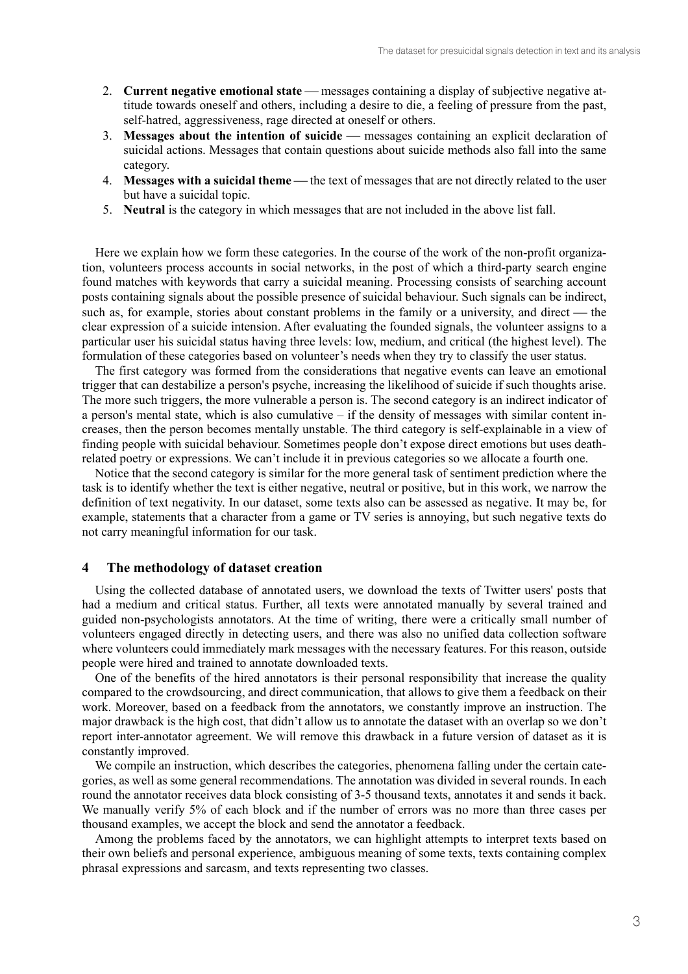- 2. **Current negative emotional state** messages containing a display of subjective negative attitude towards oneself and others, including a desire to die, a feeling of pressure from the past, self-hatred, aggressiveness, rage directed at oneself or others.
- 3. **Messages about the intention of suicide** messages containing an explicit declaration of suicidal actions. Messages that contain questions about suicide methods also fall into the same category.
- 4. **Messages with a suicidal theme** the text of messages that are not directly related to the user but have a suicidal topic.
- 5. **Neutral** is the category in which messages that are not included in the above list fall.

Here we explain how we form these categories. In the course of the work of the non-profit organization, volunteers process accounts in social networks, in the post of which a third-party search engine found matches with keywords that carry a suicidal meaning. Processing consists of searching account posts containing signals about the possible presence of suicidal behaviour. Such signals can be indirect, such as, for example, stories about constant problems in the family or a university, and direct — the clear expression of a suicide intension. After evaluating the founded signals, the volunteer assigns to a particular user his suicidal status having three levels: low, medium, and critical (the highest level). The formulation of these categories based on volunteer's needs when they try to classify the user status.

The first category was formed from the considerations that negative events can leave an emotional trigger that can destabilize a person's psyche, increasing the likelihood of suicide if such thoughts arise. The more such triggers, the more vulnerable a person is. The second category is an indirect indicator of a person's mental state, which is also cumulative – if the density of messages with similar content increases, then the person becomes mentally unstable. The third category is self-explainable in a view of finding people with suicidal behaviour. Sometimes people don't expose direct emotions but uses deathrelated poetry or expressions. We can't include it in previous categories so we allocate a fourth one.

Notice that the second category is similar for the more general task of sentiment prediction where the task is to identify whether the text is either negative, neutral or positive, but in this work, we narrow the definition of text negativity. In our dataset, some texts also can be assessed as negative. It may be, for example, statements that a character from a game or TV series is annoying, but such negative texts do not carry meaningful information for our task.

#### **4 The methodology of dataset creation**

Using the collected database of annotated users, we download the texts of Twitter users' posts that had a medium and critical status. Further, all texts were annotated manually by several trained and guided non-psychologists annotators. At the time of writing, there were a critically small number of volunteers engaged directly in detecting users, and there was also no unified data collection software where volunteers could immediately mark messages with the necessary features. For this reason, outside people were hired and trained to annotate downloaded texts.

One of the benefits of the hired annotators is their personal responsibility that increase the quality compared to the crowdsourcing, and direct communication, that allows to give them a feedback on their work. Moreover, based on a feedback from the annotators, we constantly improve an instruction. The major drawback is the high cost, that didn't allow us to annotate the dataset with an overlap so we don't report inter-annotator agreement. We will remove this drawback in a future version of dataset as it is constantly improved.

We compile an instruction, which describes the categories, phenomena falling under the certain categories, as well as some general recommendations. The annotation was divided in several rounds. In each round the annotator receives data block consisting of 3-5 thousand texts, annotates it and sends it back. We manually verify 5% of each block and if the number of errors was no more than three cases per thousand examples, we accept the block and send the annotator a feedback.

Among the problems faced by the annotators, we can highlight attempts to interpret texts based on their own beliefs and personal experience, ambiguous meaning of some texts, texts containing complex phrasal expressions and sarcasm, and texts representing two classes.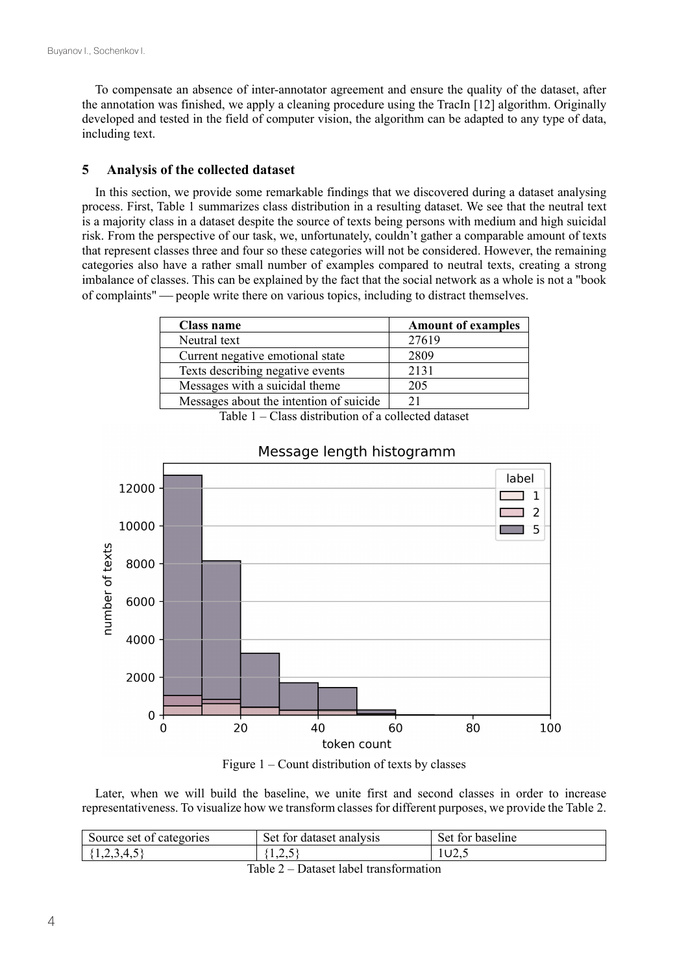To compensate an absence of inter-annotator agreement and ensure the quality of the dataset, after the annotation was finished, we apply a cleaning procedure using the TracIn [12] algorithm. Originally developed and tested in the field of computer vision, the algorithm can be adapted to any type of data, including text.

### **5 Analysis of the collected dataset**

In this section, we provide some remarkable findings that we discovered during a dataset analysing process. First, Table 1 summarizes class distribution in a resulting dataset. We see that the neutral text is a majority class in a dataset despite the source of texts being persons with medium and high suicidal risk. From the perspective of our task, we, unfortunately, couldn't gather a comparable amount of texts that represent classes three and four so these categories will not be considered. However, the remaining categories also have a rather small number of examples compared to neutral texts, creating a strong imbalance of classes. This can be explained by the fact that the social network as a whole is not a "book of complaints" people write there on various topics, including to distract themselves.

| Class name                              | <b>Amount of examples</b> |
|-----------------------------------------|---------------------------|
| Neutral text                            | 27619                     |
| Current negative emotional state        | 2809                      |
| Texts describing negative events        | 2131                      |
| Messages with a suicidal theme          | 205                       |
| Messages about the intention of suicide |                           |

Table 1 – Class distribution of a collected dataset



## Message length histogramm



Later, when we will build the baseline, we unite first and second classes in order to increase representativeness. To visualize how we transform classes for different purposes, we provide the Table 2.

| Source set of categories | Set.<br>tor dataset analysis t | Set for<br>baseline |  |  |  |  |
|--------------------------|--------------------------------|---------------------|--|--|--|--|
| . ب⊤∙بی⊾ د               | 1.L.J                          | 1 U Z.J             |  |  |  |  |
| $-11$ $ -$<br>.          |                                |                     |  |  |  |  |

Table 2 – Dataset label transformation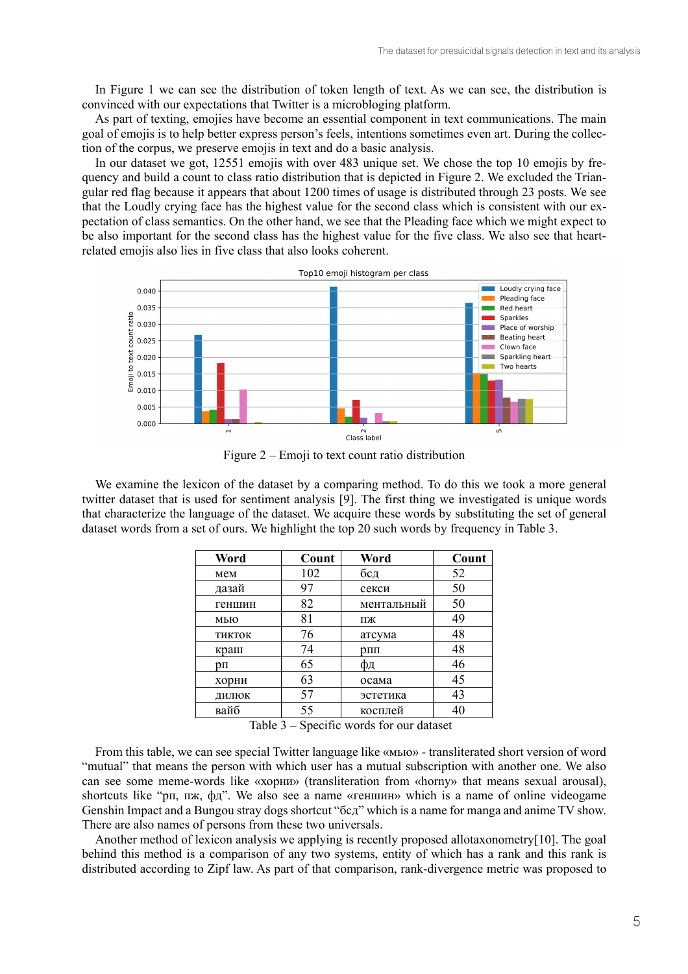In Figure 1 we can see the distribution of token length of text. As we can see, the distribution is convinced with our expectations that Twitter is a microbloging platform.

As part of texting, emojies have become an essential component in text communications. The main goal of emojis is to help better express person's feels, intentions sometimes even art. During the collection of the corpus, we preserve emojis in text and do a basic analysis.

In our dataset we got, 12551 emojis with over 483 unique set. We chose the top 10 emojis by frequency and build a count to class ratio distribution that is depicted in Figure 2. We excluded the Triangular red flag because it appears that about 1200 times of usage is distributed through 23 posts. We see that the Loudly crying face has the highest value for the second class which is consistent with our expectation of class semantics. On the other hand, we see that the Pleading face which we might expect to be also important for the second class has the highest value for the five class. We also see that heartrelated emojis also lies in five class that also looks coherent.



Figure  $2 - E$ moji to text count ratio distribution

We examine the lexicon of the dataset by a comparing method. To do this we took a more general twitter dataset that is used for sentiment analysis [9]. The first thing we investigated is unique words that characterize the language of the dataset. We acquire these words by substituting the set of general dataset words from a set of ours. We highlight the top 20 such words by frequency in Table 3.

| Word   | Count | Word       | Count |
|--------|-------|------------|-------|
| мем    | 102   | бсд        | 52    |
| дазай  | 97    | секси      | 50    |
| геншин | 82    | ментальный | 50    |
| мью    | 81    | ПЖ         | 49    |
| ТИКТОК | 76    | атсума     | 48    |
| краш   | 74    | $D\Pi\Pi$  | 48    |
| pп     | 65    | ΦД         | 46    |
| хорни  | 63    | осама      | 45    |
| ДИЛЮК  | 57    | эстетика   | 43    |
| вайб   | 55    | косплей    | 40    |

Table  $3$  – Specific words for our dataset

From this table, we can see special Twitter language like «MbIO» - transliterated short version of word "mutual" that means the person with which user has a mutual subscription with another one. We also can see some meme-words like «хорни» (transliteration from «horny» that means sexual arousal), shortcuts like "pn, n<sub>x</sub>,  $\phi$ <sub>n</sub>". We also see a name «геншин» which is a name of online videogame Genshin Impact and a Bungou stray dogs shortcut "6cg" which is a name for manga and anime TV show. There are also names of persons from these two universals.

Another method of lexicon analysis we applying is recently proposed allotaxonometry[10]. The goal behind this method is a comparison of any two systems, entity of which has a rank and this rank is distributed according to Zipf law. As part of that comparison, rank-divergence metric was proposed to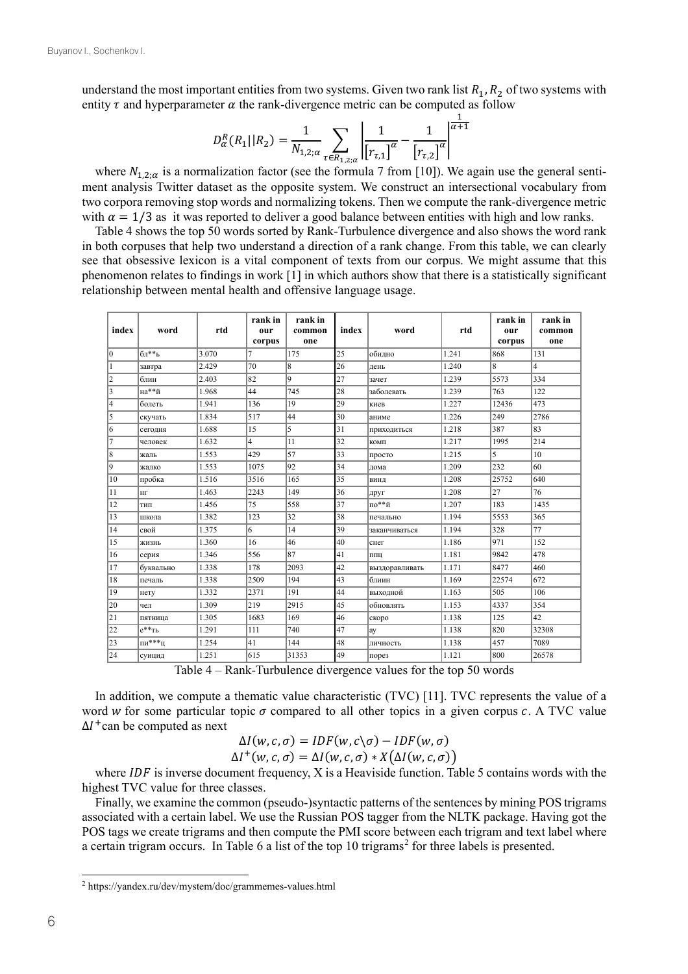understand the most important entities from two systems. Given two rank list  $R_1, R_2$  of two systems with entity  $\tau$  and hyperparameter  $\alpha$  the rank-divergence metric can be computed as follow

$$
D_{\alpha}^{R}(R_{1}||R_{2}) = \frac{1}{N_{1,2;\alpha}} \sum_{\tau \in R_{1,2;\alpha}} \left| \frac{1}{[r_{\tau,1}]} \tau - \frac{1}{[r_{\tau,2}]} \tau \right|^{\frac{1}{\alpha+1}}
$$

where  $N_{1,2;\alpha}$  is a normalization factor (see the formula 7 from [10]). We again use the general sentiment analysis Twitter dataset as the opposite system. We construct an intersectional vocabulary from two corpora removing stop words and normalizing tokens. Then we compute the rank-divergence metric with  $\alpha = 1/3$  as it was reported to deliver a good balance between entities with high and low ranks.

Table 4 shows the top 50 words sorted by Rank-Turbulence divergence and also shows the word rank in both corpuses that help two understand a direction of a rank change. From this table, we can clearly see that obsessive lexicon is a vital component of texts from our corpus. We might assume that this phenomenon relates to findings in work [1] in which authors show that there is a statistically significant relationship between mental health and offensive language usage.

| index                   | word        | rtd   | rank in<br>our<br>corpus | rank in<br>common<br>one | index | word           | rtd   | rank in<br>our<br>corpus | rank in<br>common<br>one |
|-------------------------|-------------|-------|--------------------------|--------------------------|-------|----------------|-------|--------------------------|--------------------------|
| $\mathbf{0}$            | $6\pi^{**}$ | 3.070 | 7                        | 175                      | 25    | обилно         | 1.241 | 868                      | 131                      |
| $\mathbf{1}$            | завтра      | 2.429 | 70                       | 8                        | 26    | день           | 1.240 | 8                        | 4                        |
| 2                       | блин        | 2.403 | 82                       | 9                        | 27    | зачет          | 1.239 | 5573                     | 334                      |
| 3                       | на**й       | 1.968 | 44                       | 745                      | 28    | заболевать     | 1.239 | 763                      | 122                      |
| $\overline{\mathbf{4}}$ | болеть      | 1.941 | 136                      | 19                       | 29    | киев           | 1.227 | 12436                    | 473                      |
| 5                       | скучать     | 1.834 | 517                      | 44                       | 30    | аниме          | 1.226 | 249                      | 2786                     |
| 6                       | сегодня     | 1.688 | 15                       | 5                        | 31    | приходиться    | 1.218 | 387                      | 83                       |
| $\overline{7}$          | человек     | 1.632 | $\overline{4}$           | 11                       | 32    | КОМП           | 1.217 | 1995                     | 214                      |
| 8                       | жаль        | 1.553 | 429                      | 57                       | 33    | просто         | 1.215 | 5                        | 10                       |
| 9                       | жалко       | 1.553 | 1075                     | 92                       | 34    | дома           | 1.209 | 232                      | 60                       |
| 10                      | пробка      | 1.516 | 3516                     | 165                      | 35    | ВИНД           | 1.208 | 25752                    | 640                      |
| 11                      | $H\Gamma$   | 1.463 | 2243                     | 149                      | 36    | друг           | 1.208 | 27                       | 76                       |
| 12                      | ТИП         | 1.456 | 75                       | 558                      | 37    | по**й          | 1.207 | 183                      | 1435                     |
| 13                      | школа       | 1.382 | 123                      | 32                       | 38    | печально       | 1.194 | 5553                     | 365                      |
| 14                      | свой        | 1.375 | 6                        | 14                       | 39    | заканчиваться  | 1.194 | 328                      | 77                       |
| 15                      | жизнь       | 1.360 | 16                       | 46                       | 40    | снег           | 1.186 | 971                      | 152                      |
| 16                      | серия       | 1.346 | 556                      | 87                       | 41    | ППЦ            | 1.181 | 9842                     | 478                      |
| 17                      | буквально   | 1.338 | 178                      | 2093                     | 42    | выздоравливать | 1.171 | 8477                     | 460                      |
| 18                      | печаль      | 1.338 | 2509                     | 194                      | 43    | блиин          | 1.169 | 22574                    | 672                      |
| 19                      | нету        | 1.332 | 2371                     | 191                      | 44    | выходной       | 1.163 | 505                      | 106                      |
| 20                      | чел         | 1.309 | 219                      | 2915                     | 45    | обновлять      | 1.153 | 4337                     | 354                      |
| 21                      | пятница     | 1.305 | 1683                     | 169                      | 46    | скоро          | 1.138 | 125                      | 42                       |
| 22                      | $e^{**}$ Th | 1.291 | 111                      | 740                      | 47    | ay             | 1.138 | 820                      | 32308                    |
| 23                      | пи***ц      | 1.254 | 41                       | 144                      | 48    | личность       | 1.138 | 457                      | 7089                     |
| 24                      | суицид      | 1.251 | 615                      | 31353                    | 49    | порез          | 1.121 | 800                      | 26578                    |

Table  $4 - Rank$ -Turbulence divergence values for the top 50 words

In addition, we compute a thematic value characteristic (TVC) [11]. TVC represents the value of a word w for some particular topic  $\sigma$  compared to all other topics in a given corpus  $c$ . A TVC value  $\Delta l^+$  can be computed as next

$$
\Delta I(w, c, \sigma) = IDF(w, c \setminus \sigma) - IDF(w, \sigma) \Delta I^+(w, c, \sigma) = \Delta I(w, c, \sigma) * X(\Delta I(w, c, \sigma))
$$

where  $IDF$  is inverse document frequency, X is a Heaviside function. Table 5 contains words with the highest TVC value for three classes.

Finally, we examine the common (pseudo-)syntactic patterns of the sentences by mining POS trigrams associated with a certain label. We use the Russian POS tagger from the NLTK package. Having got the POS tags we create trigrams and then compute the PMI score between each trigram and text label where a certain trigram occurs. In Table 6 a list of the top 10 trigrams<sup>2</sup> for three labels is presented.

 $2$  https://yandex.ru/dev/mystem/doc/grammemes-values.html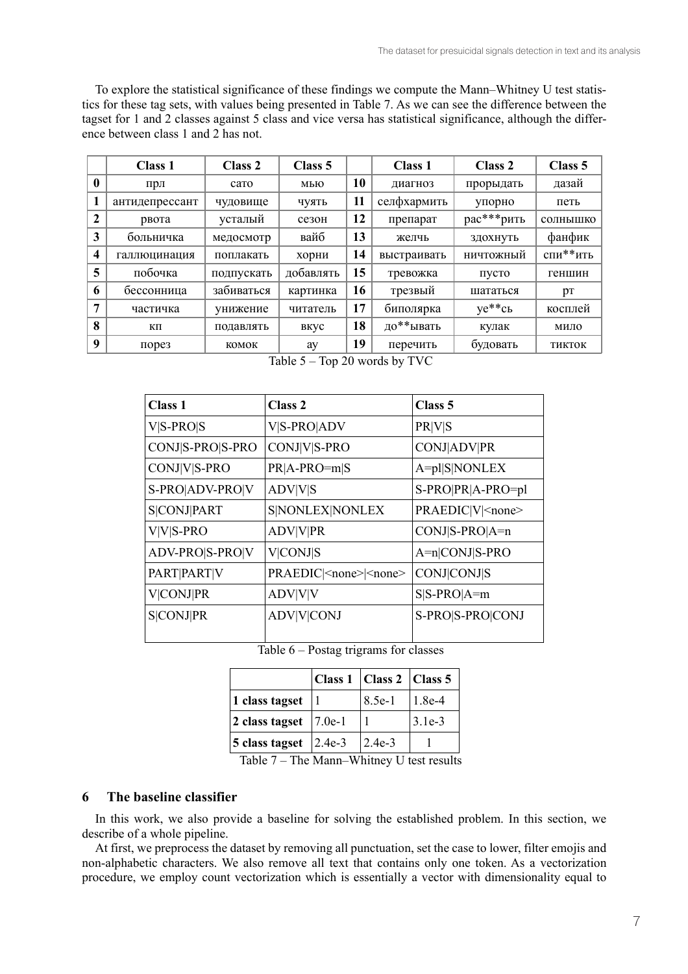To explore the statistical significance of these findings we compute the Mann–Whitney U test statistics for these tag sets, with values being presented in Table 7. As we can see the difference between the tagset for 1 and 2 classes against 5 class and vice versa has statistical significance, although the difference between class 1 and 2 has not.

|                         | Class 1            | Class 2    | Class 5   |    | <b>Class 1</b> | Class 2          | Class 5  |
|-------------------------|--------------------|------------|-----------|----|----------------|------------------|----------|
| $\mathbf{0}$            | прл                | caro       | мью       | 10 | диагноз        | прорыдать        | дазай    |
| 1                       | антидепрессант     | чудовище   | ЧУЯТЬ     | 11 | селфхармить    | упорно           | петь     |
| 2                       | рвота              | усталый    | сезон     | 12 | препарат       | рас***рить       | солнышко |
| 3                       | больничка          | медосмотр  | вайб      | 13 | желчь          | здохнуть         | фанфик   |
| $\overline{\mathbf{4}}$ | галлюцинация       | поплакать  | хорни     | 14 | выстраивать    | <b>НИЧТОЖНЫЙ</b> | спи**ить |
| 5                       | побочка            | подпускать | добавлять | 15 | тревожка       | пусто            | геншин   |
| 6                       | бессонница         | забиваться | картинка  | 16 | трезвый        | шататься         | pT       |
| 7                       | частичка           | унижение   | читатель  | 17 | биполярка      | $ye**cb$         | косплей  |
| 8                       | КΠ                 | подавлять  | вкус      | 18 | до**ывать      | кулак            | мило     |
| 9                       | $\pi$ ope $\sigma$ | комок      | ay        | 19 | перечить       | будовать         | ТИКТОК   |

Table  $5 - Top$  20 words by TVC

| <b>Class 1</b>     | Class <sub>2</sub>                   | Class 5                  |
|--------------------|--------------------------------------|--------------------------|
| $V S-PRO S$        | V S-PRO ADV                          | <b>PR V S</b>            |
| CONJ S-PRO S-PRO   | CONJ V S-PRO                         | <b>CONJ</b>  ADV PR      |
| CONJ V S-PRO       | $PR A-PRO=m S$                       | A=pl S NONLEX            |
| S-PRO ADV-PRO V    | <b>ADV V S</b>                       | S-PRO PR A-PRO=pl        |
| <b>S CONJ PART</b> | S NONLEX NONLEX                      | PRAEDIC V  <none></none> |
| $V V S-PRO$        | <b>ADV V PR</b>                      | $CONJ S-PRO A=n$         |
| ADV-PRO S-PRO V    | <b>V</b>  CONJ S                     | A=n CONJ S-PRO           |
| PART PART V        | PRAEDIC  <none> <none></none></none> | <b>CONJ</b> CONJS        |
| <b>V</b>  CONJ PR  | <b>ADV V V</b>                       | $S S-PRO A=m$            |
| <b>S CONJ PR</b>   | <b>ADV V CONJ</b>                    | S-PRO S-PRO CONJ         |

Table  $6$  – Postag trigrams for classes

|                                      | Class 1   Class 2   Class 5 |          |
|--------------------------------------|-----------------------------|----------|
| 1 class tagset $ 1$                  | $8.5e-1$                    | $1.8e-4$ |
| 2 class tagset $\left 7.0e-1\right $ |                             | $3.1e-3$ |
| 5 class tagset $ 2.4e-3$             | $ 2.4e-3$                   |          |

Table 7 - The Mann-Whitney U test results

#### The baseline classifier 6

In this work, we also provide a baseline for solving the established problem. In this section, we describe of a whole pipeline.

At first, we preprocess the dataset by removing all punctuation, set the case to lower, filter emojis and non-alphabetic characters. We also remove all text that contains only one token. As a vectorization procedure, we employ count vectorization which is essentially a vector with dimensionality equal to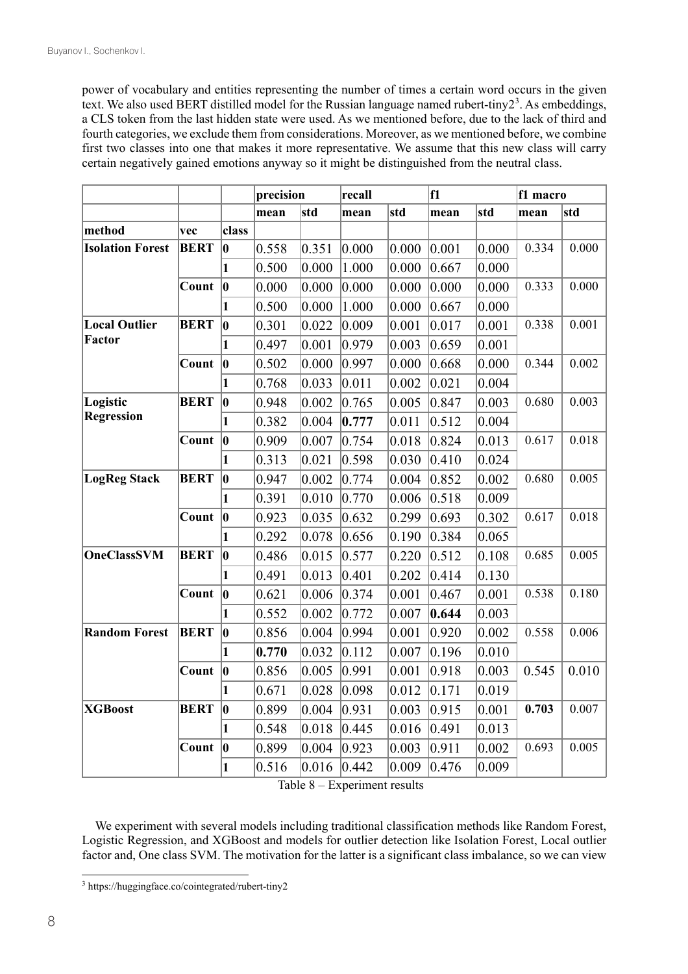power of vocabulary and entities representing the number of times a certain word occurs in the given text. We also used BERT distilled model for the Russian language named rubert-tiny2<sup>3</sup>. As embeddings, a CLS token from the last hidden state were used. As we mentioned before, due to the lack of third and fourth categories, we exclude them from considerations. Moreover, as we mentioned before, we combine first two classes into one that makes it more representative. We assume that this new class will carry certain negatively gained emotions anyway so it might be distinguished from the neutral class.

|                         |             |              | precision |       | recall |       | f1    |       | f1 macro |       |
|-------------------------|-------------|--------------|-----------|-------|--------|-------|-------|-------|----------|-------|
|                         |             |              | mean      | std   | mean   | std   | mean  | std   | mean     | std   |
| method                  | vec         | class        |           |       |        |       |       |       |          |       |
| <b>Isolation Forest</b> | <b>BERT</b> | $ {\bf 0} $  | 0.558     | 0.351 | 0.000  | 0.000 | 0.001 | 0.000 | 0.334    | 0.000 |
|                         |             | 1            | 0.500     | 0.000 | 1.000  | 0.000 | 0.667 | 0.000 |          |       |
|                         | Count       | $ {\bf 0}$   | 0.000     | 0.000 | 0.000  | 0.000 | 0.000 | 0.000 | 0.333    | 0.000 |
|                         |             | $\mathbf{1}$ | 0.500     | 0.000 | 1.000  | 0.000 | 0.667 | 0.000 |          |       |
| <b>Local Outlier</b>    | <b>BERT</b> | $ {\bm 0} $  | 0.301     | 0.022 | 0.009  | 0.001 | 0.017 | 0.001 | 0.338    | 0.001 |
| Factor                  |             | 1            | 0.497     | 0.001 | 0.979  | 0.003 | 0.659 | 0.001 |          |       |
|                         | Count       | $ 0\rangle$  | 0.502     | 0.000 | 0.997  | 0.000 | 0.668 | 0.000 | 0.344    | 0.002 |
|                         |             | $\mathbf{1}$ | 0.768     | 0.033 | 0.011  | 0.002 | 0.021 | 0.004 |          |       |
| Logistic                | <b>BERT</b> | $ {\bm 0} $  | 0.948     | 0.002 | 0.765  | 0.005 | 0.847 | 0.003 | 0.680    | 0.003 |
| <b>Regression</b>       |             | 1            | 0.382     | 0.004 | 0.777  | 0.011 | 0.512 | 0.004 |          |       |
|                         | Count       | $ {\bm 0} $  | 0.909     | 0.007 | 0.754  | 0.018 | 0.824 | 0.013 | 0.617    | 0.018 |
|                         |             | $\mathbf{1}$ | 0.313     | 0.021 | 0.598  | 0.030 | 0.410 | 0.024 |          |       |
| <b>LogReg Stack</b>     | <b>BERT</b> | $ {\bf 0} $  | 0.947     | 0.002 | 0.774  | 0.004 | 0.852 | 0.002 | 0.680    | 0.005 |
|                         |             | 1            | 0.391     | 0.010 | 0.770  | 0.006 | 0.518 | 0.009 |          |       |
|                         | Count       | $ {\bf 0}$   | 0.923     | 0.035 | 0.632  | 0.299 | 0.693 | 0.302 | 0.617    | 0.018 |
|                         |             | 1            | 0.292     | 0.078 | 0.656  | 0.190 | 0.384 | 0.065 |          |       |
| <b>OneClassSVM</b>      | <b>BERT</b> | $ {\bf 0}$   | 0.486     | 0.015 | 0.577  | 0.220 | 0.512 | 0.108 | 0.685    | 0.005 |
|                         |             | 1            | 0.491     | 0.013 | 0.401  | 0.202 | 0.414 | 0.130 |          |       |
|                         | Count       | $ 0\rangle$  | 0.621     | 0.006 | 0.374  | 0.001 | 0.467 | 0.001 | 0.538    | 0.180 |
|                         |             | 1            | 0.552     | 0.002 | 0.772  | 0.007 | 0.644 | 0.003 |          |       |
| <b>Random Forest</b>    | <b>BERT</b> | $\bf{0}$     | 0.856     | 0.004 | 0.994  | 0.001 | 0.920 | 0.002 | 0.558    | 0.006 |
|                         |             | $\mathbf{1}$ | 0.770     | 0.032 | 0.112  | 0.007 | 0.196 | 0.010 |          |       |
|                         | Count       | $ 0\rangle$  | 0.856     | 0.005 | 0.991  | 0.001 | 0.918 | 0.003 | 0.545    | 0.010 |
|                         |             | 1            | 0.671     | 0.028 | 0.098  | 0.012 | 0.171 | 0.019 |          |       |
| <b>XGBoost</b>          | <b>BERT</b> | $\bf{0}$     | 0.899     | 0.004 | 0.931  | 0.003 | 0.915 | 0.001 | 0.703    | 0.007 |
|                         |             | $\mathbf{1}$ | 0.548     | 0.018 | 0.445  | 0.016 | 0.491 | 0.013 |          |       |
|                         | Count       | $ {\bf 0} $  | 0.899     | 0.004 | 0.923  | 0.003 | 0.911 | 0.002 | 0.693    | 0.005 |
|                         |             | $\mathbf{1}$ | 0.516     | 0.016 | 0.442  | 0.009 | 0.476 | 0.009 |          |       |

Table 8 – Experiment results

We experiment with several models including traditional classification methods like Random Forest, Logistic Regression, and XGBoost and models for outlier detection like Isolation Forest, Local outlier factor and, One class SVM. The motivation for the latter is a significant class imbalance, so we can view

<sup>3</sup> https://huggingface.co/cointegrated/rubert-tiny2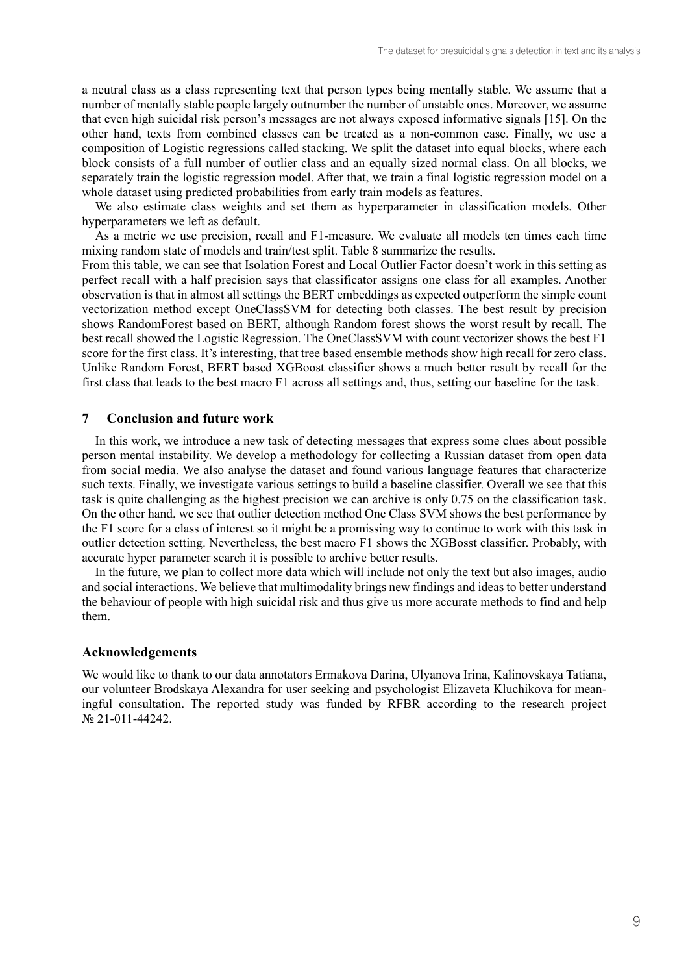a neutral class as a class representing text that person types being mentally stable. We assume that a number of mentally stable people largely outnumber the number of unstable ones. Moreover, we assume that even high suicidal risk person's messages are not always exposed informative signals [15]. On the other hand, texts from combined classes can be treated as a non-common case. Finally, we use a composition of Logistic regressions called stacking. We split the dataset into equal blocks, where each block consists of a full number of outlier class and an equally sized normal class. On all blocks, we separately train the logistic regression model. After that, we train a final logistic regression model on a whole dataset using predicted probabilities from early train models as features.

We also estimate class weights and set them as hyperparameter in classification models. Other hyperparameters we left as default.

As a metric we use precision, recall and F1-measure. We evaluate all models ten times each time mixing random state of models and train/test split. Table 8 summarize the results.

From this table, we can see that Isolation Forest and Local Outlier Factor doesn't work in this setting as perfect recall with a half precision says that classificator assigns one class for all examples. Another observation is that in almost all settings the BERT embeddings as expected outperform the simple count vectorization method except OneClassSVM for detecting both classes. The best result by precision shows RandomForest based on BERT, although Random forest shows the worst result by recall. The best recall showed the Logistic Regression. The OneClassSVM with count vectorizer shows the best F1 score for the first class. It's interesting, that tree based ensemble methods show high recall for zero class. Unlike Random Forest, BERT based XGBoost classifier shows a much better result by recall for the first class that leads to the best macro F1 across all settings and, thus, setting our baseline for the task.

#### **7 Conclusion and future work**

In this work, we introduce a new task of detecting messages that express some clues about possible person mental instability. We develop a methodology for collecting a Russian dataset from open data from social media. We also analyse the dataset and found various language features that characterize such texts. Finally, we investigate various settings to build a baseline classifier. Overall we see that this task is quite challenging as the highest precision we can archive is only 0.75 on the classification task. On the other hand, we see that outlier detection method One Class SVM shows the best performance by the F1 score for a class of interest so it might be a promissing way to continue to work with this task in outlier detection setting. Nevertheless, the best macro F1 shows the XGBosst classifier. Probably, with accurate hyper parameter search it is possible to archive better results.

In the future, we plan to collect more data which will include not only the text but also images, audio and social interactions. We believe that multimodality brings new findings and ideas to better understand the behaviour of people with high suicidal risk and thus give us more accurate methods to find and help them.

#### **Acknowledgements**

We would like to thank to our data annotators Ermakova Darina, Ulyanova Irina, Kalinovskaya Tatiana, our volunteer Brodskaya Alexandra for user seeking and psychologist Elizaveta Kluchikova for meaningful consultation. The reported study was funded by RFBR according to the research project № 21-011-44242.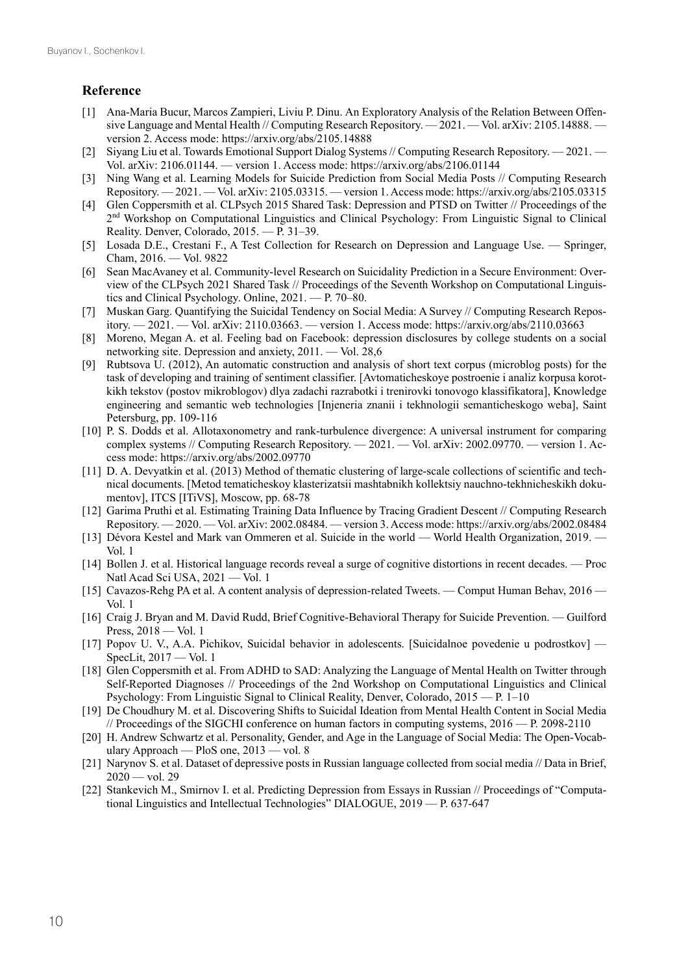## **Reference**

- [1] Ana-Maria Bucur, Marcos Zampieri, Liviu P. Dinu. An Exploratory Analysis of the Relation Between Offensive Language and Mental Health // Computing Research Repository. — 2021. — Vol. arXiv: 2105.14888. version 2. Access mode: https://arxiv.org/abs/2105.14888
- [2] Siyang Liu et al. Towards Emotional Support Dialog Systems // Computing Research Repository. 2021. Vol. arXiv: 2106.01144. — version 1. Access mode: https://arxiv.org/abs/2106.01144
- [3] Ning Wang et al. Learning Models for Suicide Prediction from Social Media Posts // Computing Research Repository. — 2021. — Vol. arXiv: 2105.03315. — version 1. Access mode: https://arxiv.org/abs/2105.03315
- [4] Glen Coppersmith et al. CLPsych 2015 Shared Task: Depression and PTSD on Twitter // Proceedings of the 2nd Workshop on Computational Linguistics and Clinical Psychology: From Linguistic Signal to Clinical Reality. Denver, Colorado, 2015. — P. 31–39.
- [5] Losada D.E., Crestani F., A Test Collection for Research on Depression and Language Use. Springer, Cham, 2016. — Vol. 9822
- [6] Sean MacAvaney et al. Community-level Research on Suicidality Prediction in a Secure Environment: Overview of the CLPsych 2021 Shared Task // Proceedings of the Seventh Workshop on Computational Linguistics and Clinical Psychology. Online, 2021. — P. 70–80.
- [7] Muskan Garg. Quantifying the Suicidal Tendency on Social Media: A Survey // Computing Research Repository. — 2021. — Vol. arXiv: 2110.03663. — version 1. Access mode: https://arxiv.org/abs/2110.03663
- [8] Moreno, Megan A. et al. Feeling bad on Facebook: depression disclosures by college students on a social networking site. Depression and anxiety, 2011. — Vol. 28,6
- [9] Rubtsova U. (2012), An automatic construction and analysis of short text corpus (microblog posts) for the task of developing and training of sentiment classifier. [Avtomaticheskoye postroenie i analiz korpusa korotkikh tekstov (postov mikroblogov) dlya zadachi razrabotki i trenirovki tonovogo klassifikatora], Knowledge engineering and semantic web technologies [Injeneria znanii i tekhnologii semanticheskogo weba], Saint Petersburg, pp. 109-116
- [10] P. S. Dodds et al. Allotaxonometry and rank-turbulence divergence: A universal instrument for comparing complex systems // Computing Research Repository. — 2021. — Vol. arXiv: 2002.09770. — version 1. Access mode: https://arxiv.org/abs/2002.09770
- [11] D. A. Devyatkin et al. (2013) Method of thematic clustering of large-scale collections of scientific and technical documents. [Metod tematicheskoy klasterizatsii mashtabnikh kollektsiy nauchno-tekhnicheskikh dokumentov], ITCS [ITiVS], Moscow, pp. 68-78
- [12] Garima Pruthi et al. Estimating Training Data Influence by Tracing Gradient Descent // Computing Research Repository. — 2020. — Vol. arXiv: 2002.08484. — version 3. Access mode: https://arxiv.org/abs/2002.08484
- [13] Dévora Kestel and Mark van Ommeren et al. Suicide in the world World Health Organization, 2019. Vol. 1
- [14] Bollen J. et al. Historical language records reveal a surge of cognitive distortions in recent decades. Proc Natl Acad Sci USA, 2021 — Vol. 1
- [15] Cavazos-Rehg PA et al. A content analysis of depression-related Tweets. Comput Human Behav, 2016 Vol. 1
- [16] Craig J. Bryan and M. David Rudd, Brief Cognitive-Behavioral Therapy for Suicide Prevention. Guilford Press, 2018 — Vol. 1
- [17] Popov U. V., A.A. Pichikov, Suicidal behavior in adolescents. [Suicidalnoe povedenie u podrostkov] SpecLit, 2017 — Vol. 1
- [18] Glen Coppersmith et al. From ADHD to SAD: Analyzing the Language of Mental Health on Twitter through Self-Reported Diagnoses // Proceedings of the 2nd Workshop on Computational Linguistics and Clinical Psychology: From Linguistic Signal to Clinical Reality, Denver, Colorado, 2015 — P. 1–10
- [19] De Choudhury M. et al. Discovering Shifts to Suicidal Ideation from Mental Health Content in Social Media // Proceedings of the SIGCHI conference on human factors in computing systems,  $2016 - P$ . 2098-2110
- [20] H. Andrew Schwartz et al. Personality, Gender, and Age in the Language of Social Media: The Open-Vocabulary Approach — PloS one, 2013 — vol. 8
- [21] Narynov S. et al. Dataset of depressive posts in Russian language collected from social media // Data in Brief,  $2020 - vol. 29$
- [22] Stankevich M., Smirnov I. et al. Predicting Depression from Essays in Russian // Proceedings of "Computational Linguistics and Intellectual Technologies" DIALOGUE, 2019 — P. 637-647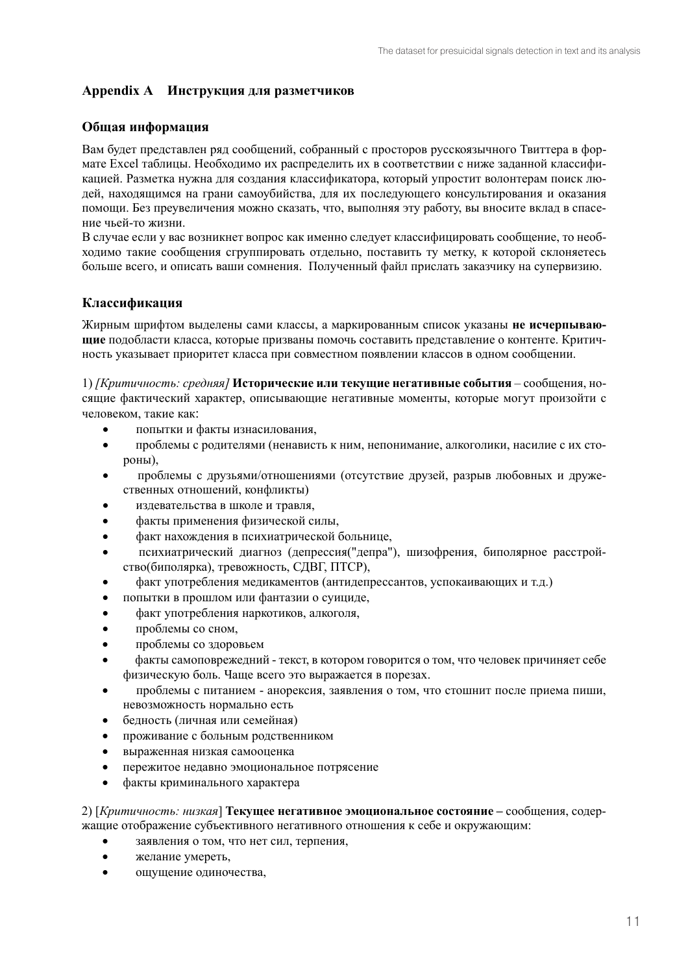## Appendix A Инструкция для разметчиков

## Общая информация

Вам будет представлен ряд сообщений, собранный с просторов русскоязычного Твиттера в формате Excel таблицы. Необходимо их распределить их в соответствии с ниже заданной классификацией. Разметка нужна для создания классификатора, который упростит волонтерам поиск людей, находящимся на грани самоубийства, для их последующего консультирования и оказания помощи. Без преувеличения можно сказать, что, выполняя эту работу, вы вносите вклад в спасение чьей-то жизни.

В случае если у вас возникнет вопрос как именно следует классифицировать сообщение, то необходимо такие сообщения сгруппировать отдельно, поставить ту метку, к которой склоняетесь больше всего, и описать ваши сомнения. Полученный файл прислать заказчику на супервизию.

#### Классификация

Жирным шрифтом вылелены сами классы, а маркированным список указаны не исчерпываюшие подобласти класса, которые призваны помочь составить представление о контенте. Критичность указывает приоритет класса при совместном появлении классов в одном сообщении.

1) [Критичность: средняя] Исторические или текущие негативные события - сообщения, носящие фактический характер, описывающие негативные моменты, которые могут произойти с человеком, такие как:

- попытки и факты изнасилования,
- проблемы с родителями (ненависть к ним, непонимание, алкоголики, насилие с их сто- $\bullet$ роны),
- проблемы с друзьями/отношениями (отсутствие друзей, разрыв любовных и дружественных отношений, конфликты)
- издевательства в школе и травля.
- факты применения физической силы,
- факт нахождения в психиатрической больнице,
- психиатрический диагноз (депрессия("депра"), шизофрения, биполярное расстройство(биполярка), тревожность, СДВГ, ПТСР),
- факт употребления медикаментов (антидепрессантов, успокаивающих и т.д.)
- попытки в прошлом или фантазии о суициде,
- факт употребления наркотиков, алкоголя,
- проблемы со сном,
- проблемы со здоровьем  $\bullet$
- факты самоповрежедний текст, в котором говорится о том, что человек причиняет себе физическую боль. Чаще всего это выражается в порезах.
- $\bullet$ проблемы с питанием - анорексия, заявления о том, что стошнит после приема пиши, невозможность нормально есть
- белность (личная или семейная)  $\bullet$
- проживание с больным родственником  $\bullet$
- выраженная низкая самооценка  $\bullet$
- пережитое недавно эмоциональное потрясение  $\bullet$
- факты криминального характера  $\bullet$

2) [Критичность: низкая] Текущее негативное эмоциональное состояние - сообщения, содержащие отображение субъективного негативного отношения к себе и окружающим:

- заявления о том, что нет сил, терпения,
- желание умереть.
- $\blacksquare$ ошушение одиночества.